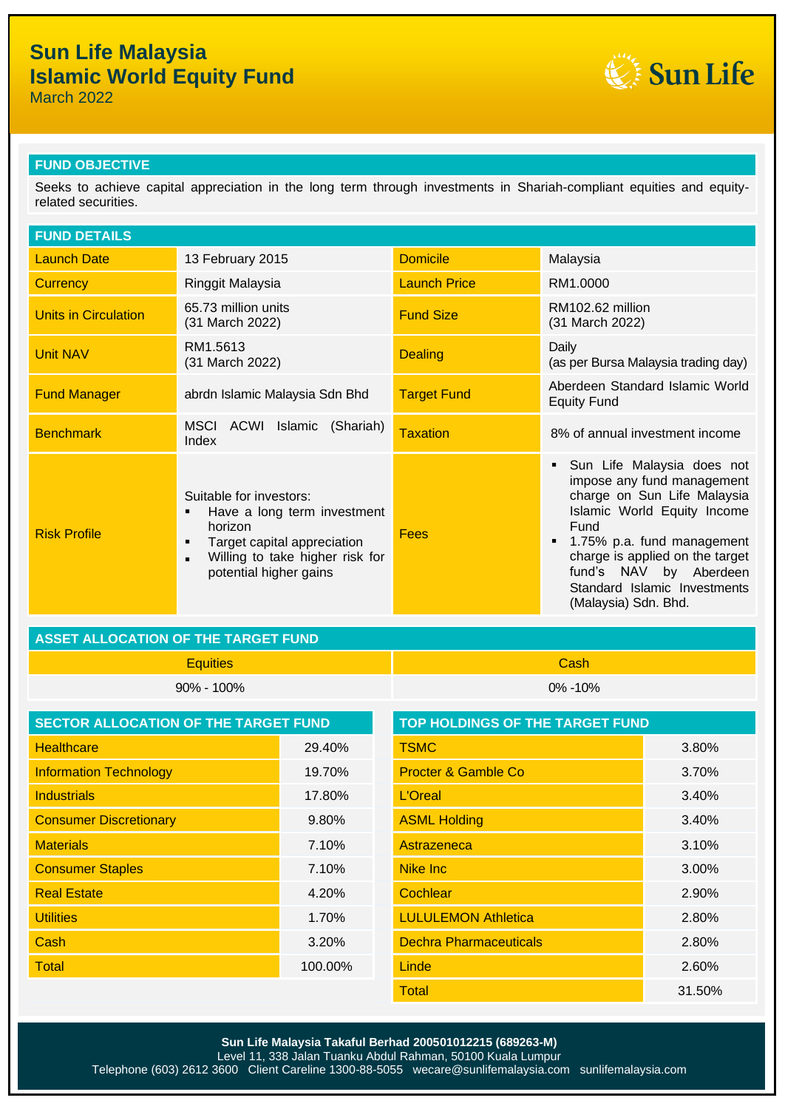# **Sun Life Malaysia Islamic World Equity Fund**

March 2022



### **FUND OBJECTIVE**

Seeks to achieve capital appreciation in the long term through investments in Shariah-compliant equities and equityrelated securities.

| <b>FUND DETAILS</b>         |                                                                                                                                                                                           |                     |                                                                                                                                                                                                                                                                                   |
|-----------------------------|-------------------------------------------------------------------------------------------------------------------------------------------------------------------------------------------|---------------------|-----------------------------------------------------------------------------------------------------------------------------------------------------------------------------------------------------------------------------------------------------------------------------------|
| <b>Launch Date</b>          | 13 February 2015                                                                                                                                                                          | <b>Domicile</b>     | Malaysia                                                                                                                                                                                                                                                                          |
| <b>Currency</b>             | Ringgit Malaysia                                                                                                                                                                          | <b>Launch Price</b> | RM1.0000                                                                                                                                                                                                                                                                          |
| <b>Units in Circulation</b> | 65.73 million units<br>(31 March 2022)                                                                                                                                                    | <b>Fund Size</b>    | RM102.62 million<br>(31 March 2022)                                                                                                                                                                                                                                               |
| <b>Unit NAV</b>             | RM1.5613<br>(31 March 2022)                                                                                                                                                               | <b>Dealing</b>      | Daily<br>(as per Bursa Malaysia trading day)                                                                                                                                                                                                                                      |
| <b>Fund Manager</b>         | abrdn Islamic Malaysia Sdn Bhd                                                                                                                                                            | <b>Target Fund</b>  | Aberdeen Standard Islamic World<br><b>Equity Fund</b>                                                                                                                                                                                                                             |
| <b>Benchmark</b>            | MSCI<br>ACWI<br>Islamic<br>(Shariah)<br>Index                                                                                                                                             | Taxation            | 8% of annual investment income                                                                                                                                                                                                                                                    |
| <b>Risk Profile</b>         | Suitable for investors:<br>Have a long term investment<br>٠<br>horizon<br>Target capital appreciation<br>٠<br>Willing to take higher risk for<br>$\blacksquare$<br>potential higher gains | Fees                | Sun Life Malaysia does not<br>impose any fund management<br>charge on Sun Life Malaysia<br>Islamic World Equity Income<br>Fund<br>1.75% p.a. fund management<br>charge is applied on the target<br>fund's NAV by Aberdeen<br>Standard Islamic Investments<br>(Malaysia) Sdn. Bhd. |

## **ASSET ALLOCATION OF THE TARGET FUND**

Equities Cash 90% - 100% 0% -10%

| <b>SECTOR ALLOCATION OF THE TARGET FUND</b> |         | <b>TOP HOLDINGS OF THE TARGET FUND</b> |        |
|---------------------------------------------|---------|----------------------------------------|--------|
| <b>Healthcare</b>                           | 29.40%  | <b>TSMC</b>                            | 3.80%  |
| <b>Information Technology</b>               | 19.70%  | <b>Procter &amp; Gamble Co</b>         | 3.70%  |
| <b>Industrials</b>                          | 17.80%  | L'Oreal                                | 3.40%  |
| <b>Consumer Discretionary</b>               | 9.80%   | <b>ASML Holding</b>                    | 3.40%  |
| <b>Materials</b>                            | 7.10%   | Astrazeneca                            | 3.10%  |
| <b>Consumer Staples</b>                     | 7.10%   | <b>Nike Inc</b>                        | 3.00%  |
| <b>Real Estate</b>                          | 4.20%   | Cochlear                               | 2.90%  |
| <b>Utilities</b>                            | 1.70%   | <b>LULULEMON Athletica</b>             | 2.80%  |
| Cash                                        | 3.20%   | <b>Dechra Pharmaceuticals</b>          | 2.80%  |
| Total                                       | 100.00% | Linde                                  | 2.60%  |
|                                             |         | <b>Total</b>                           | 31.50% |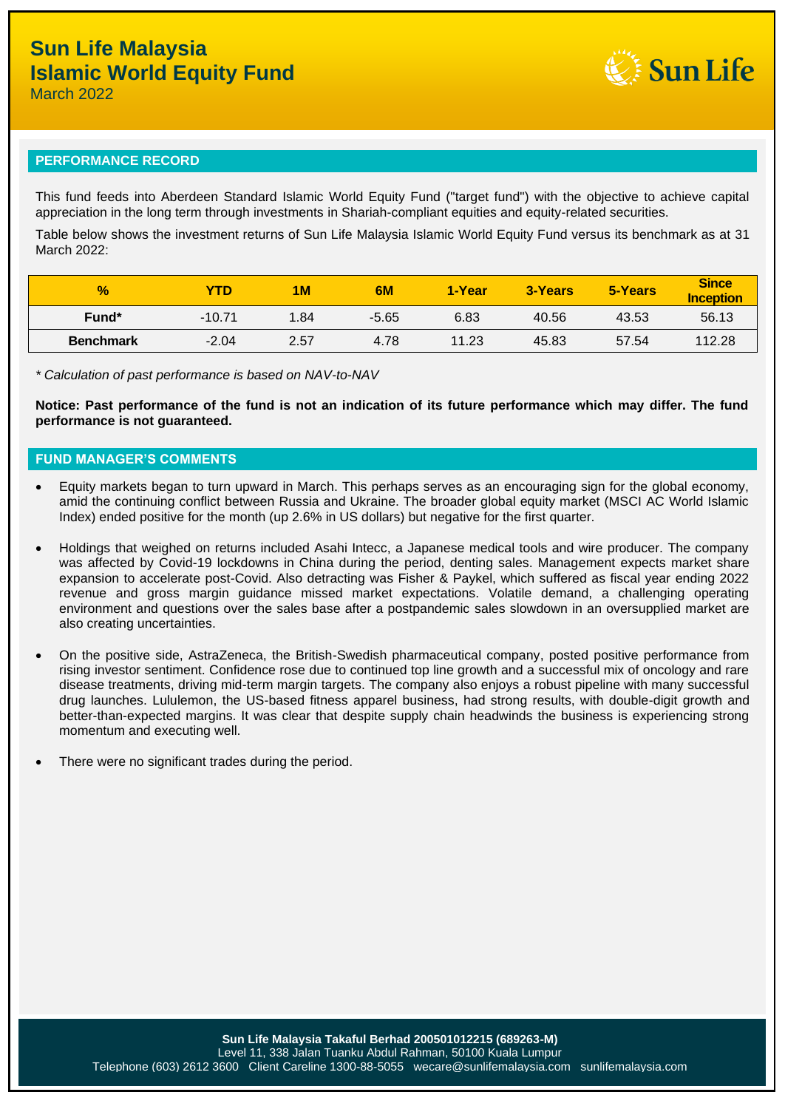

March 2022

#### **PERFORMANCE RECORD**

This fund feeds into Aberdeen Standard Islamic World Equity Fund ("target fund") with the objective to achieve capital appreciation in the long term through investments in Shariah-compliant equities and equity-related securities.

Table below shows the investment returns of Sun Life Malaysia Islamic World Equity Fund versus its benchmark as at 31 March 2022:

| $\frac{1}{2}$     | YTD      | <b>1M</b> | 6M      | 1-Year | 3-Years | 5-Years | <b>Since</b><br><b>Inception</b> |
|-------------------|----------|-----------|---------|--------|---------|---------|----------------------------------|
| Fund <sup>*</sup> | $-10.71$ | .84       | $-5.65$ | 6.83   | 40.56   | 43.53   | 56.13                            |
| <b>Benchmark</b>  | $-2.04$  | 2.57      | 4.78    | 11.23  | 45.83   | 57.54   | 112.28                           |

*\* Calculation of past performance is based on NAV-to-NAV*

**Notice: Past performance of the fund is not an indication of its future performance which may differ. The fund performance is not guaranteed.**

### **FUND MANAGER'S COMMENTS**

- Equity markets began to turn upward in March. This perhaps serves as an encouraging sign for the global economy, amid the continuing conflict between Russia and Ukraine. The broader global equity market (MSCI AC World Islamic Index) ended positive for the month (up 2.6% in US dollars) but negative for the first quarter.
- Holdings that weighed on returns included Asahi Intecc, a Japanese medical tools and wire producer. The company was affected by Covid-19 lockdowns in China during the period, denting sales. Management expects market share expansion to accelerate post-Covid. Also detracting was Fisher & Paykel, which suffered as fiscal year ending 2022 revenue and gross margin guidance missed market expectations. Volatile demand, a challenging operating environment and questions over the sales base after a postpandemic sales slowdown in an oversupplied market are also creating uncertainties.
- On the positive side, AstraZeneca, the British-Swedish pharmaceutical company, posted positive performance from rising investor sentiment. Confidence rose due to continued top line growth and a successful mix of oncology and rare disease treatments, driving mid-term margin targets. The company also enjoys a robust pipeline with many successful drug launches. Lululemon, the US-based fitness apparel business, had strong results, with double-digit growth and better-than-expected margins. It was clear that despite supply chain headwinds the business is experiencing strong momentum and executing well.
- There were no significant trades during the period.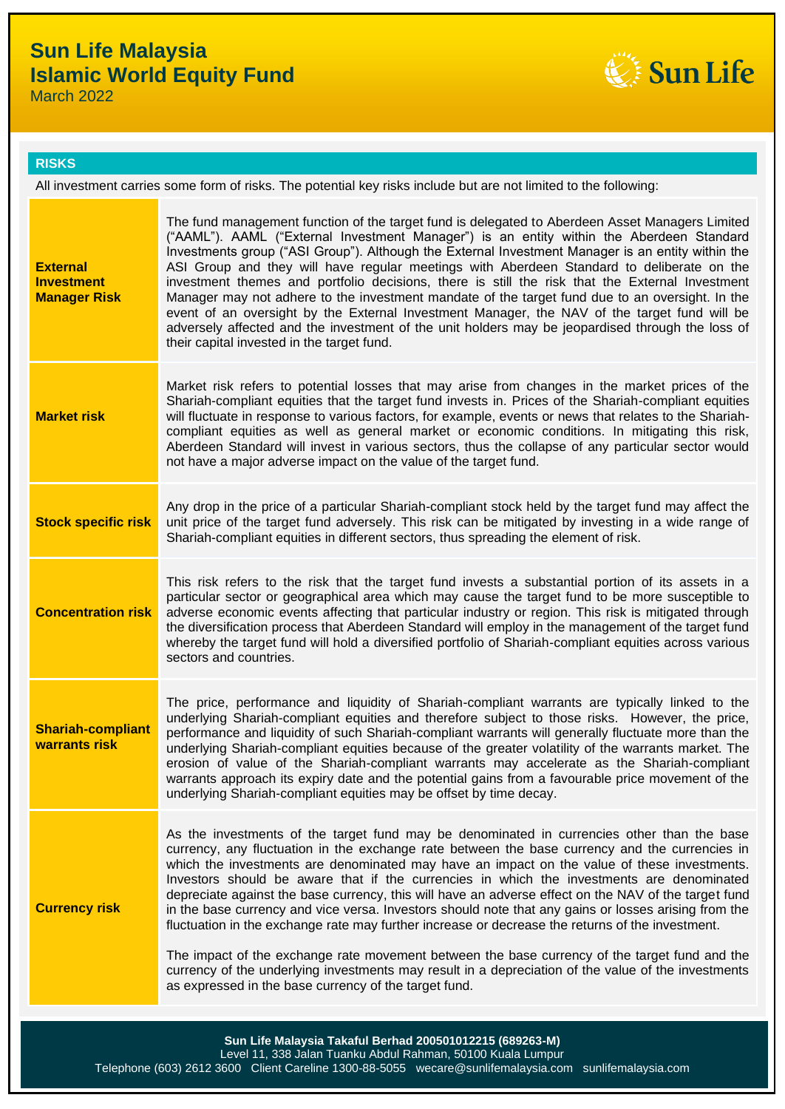# **Sun Life Malaysia Islamic World Equity Fund**

March 2022



#### **RISKS**

All investment carries some form of risks. The potential key risks include but are not limited to the following:

| investment themes and portfolio decisions, there is still the risk that the External Investment<br><b>Investment</b><br>Manager may not adhere to the investment mandate of the target fund due to an oversight. In the<br><b>Manager Risk</b><br>event of an oversight by the External Investment Manager, the NAV of the target fund will be<br>adversely affected and the investment of the unit holders may be jeopardised through the loss of<br>their capital invested in the target fund.<br>Market risk refers to potential losses that may arise from changes in the market prices of the<br>Shariah-compliant equities that the target fund invests in. Prices of the Shariah-compliant equities<br><b>Market risk</b><br>will fluctuate in response to various factors, for example, events or news that relates to the Shariah-<br>compliant equities as well as general market or economic conditions. In mitigating this risk,<br>Aberdeen Standard will invest in various sectors, thus the collapse of any particular sector would<br>not have a major adverse impact on the value of the target fund.<br>Any drop in the price of a particular Shariah-compliant stock held by the target fund may affect the<br><b>Stock specific risk</b><br>unit price of the target fund adversely. This risk can be mitigated by investing in a wide range of<br>Shariah-compliant equities in different sectors, thus spreading the element of risk.<br>This risk refers to the risk that the target fund invests a substantial portion of its assets in a<br>particular sector or geographical area which may cause the target fund to be more susceptible to<br><b>Concentration risk</b><br>adverse economic events affecting that particular industry or region. This risk is mitigated through<br>the diversification process that Aberdeen Standard will employ in the management of the target fund<br>whereby the target fund will hold a diversified portfolio of Shariah-compliant equities across various<br>sectors and countries.<br>The price, performance and liquidity of Shariah-compliant warrants are typically linked to the<br>underlying Shariah-compliant equities and therefore subject to those risks. However, the price,<br><b>Shariah-compliant</b><br>performance and liquidity of such Shariah-compliant warrants will generally fluctuate more than the<br>warrants risk<br>underlying Shariah-compliant equities because of the greater volatility of the warrants market. The<br>erosion of value of the Shariah-compliant warrants may accelerate as the Shariah-compliant<br>warrants approach its expiry date and the potential gains from a favourable price movement of the<br>underlying Shariah-compliant equities may be offset by time decay.<br>As the investments of the target fund may be denominated in currencies other than the base<br>currency, any fluctuation in the exchange rate between the base currency and the currencies in<br>which the investments are denominated may have an impact on the value of these investments.<br>Investors should be aware that if the currencies in which the investments are denominated<br>depreciate against the base currency, this will have an adverse effect on the NAV of the target fund<br><b>Currency risk</b><br>in the base currency and vice versa. Investors should note that any gains or losses arising from the<br>fluctuation in the exchange rate may further increase or decrease the returns of the investment.<br>The impact of the exchange rate movement between the base currency of the target fund and the<br>currency of the underlying investments may result in a depreciation of the value of the investments<br>as expressed in the base currency of the target fund. | <b>External</b> | The fund management function of the target fund is delegated to Aberdeen Asset Managers Limited<br>("AAML"). AAML ("External Investment Manager") is an entity within the Aberdeen Standard<br>Investments group ("ASI Group"). Although the External Investment Manager is an entity within the<br>ASI Group and they will have regular meetings with Aberdeen Standard to deliberate on the |
|---------------------------------------------------------------------------------------------------------------------------------------------------------------------------------------------------------------------------------------------------------------------------------------------------------------------------------------------------------------------------------------------------------------------------------------------------------------------------------------------------------------------------------------------------------------------------------------------------------------------------------------------------------------------------------------------------------------------------------------------------------------------------------------------------------------------------------------------------------------------------------------------------------------------------------------------------------------------------------------------------------------------------------------------------------------------------------------------------------------------------------------------------------------------------------------------------------------------------------------------------------------------------------------------------------------------------------------------------------------------------------------------------------------------------------------------------------------------------------------------------------------------------------------------------------------------------------------------------------------------------------------------------------------------------------------------------------------------------------------------------------------------------------------------------------------------------------------------------------------------------------------------------------------------------------------------------------------------------------------------------------------------------------------------------------------------------------------------------------------------------------------------------------------------------------------------------------------------------------------------------------------------------------------------------------------------------------------------------------------------------------------------------------------------------------------------------------------------------------------------------------------------------------------------------------------------------------------------------------------------------------------------------------------------------------------------------------------------------------------------------------------------------------------------------------------------------------------------------------------------------------------------------------------------------------------------------------------------------------------------------------------------------------------------------------------------------------------------------------------------------------------------------------------------------------------------------------------------------------------------------------------------------------------------------------------------------------------------------------------------------------------------------------------------------------------------------------------------------------------------------------------------------------------------------------------------------------------------------------------------------------------------------------------------------------------------------------------------------------------------------------------------------------------------------------|-----------------|-----------------------------------------------------------------------------------------------------------------------------------------------------------------------------------------------------------------------------------------------------------------------------------------------------------------------------------------------------------------------------------------------|
|                                                                                                                                                                                                                                                                                                                                                                                                                                                                                                                                                                                                                                                                                                                                                                                                                                                                                                                                                                                                                                                                                                                                                                                                                                                                                                                                                                                                                                                                                                                                                                                                                                                                                                                                                                                                                                                                                                                                                                                                                                                                                                                                                                                                                                                                                                                                                                                                                                                                                                                                                                                                                                                                                                                                                                                                                                                                                                                                                                                                                                                                                                                                                                                                                                                                                                                                                                                                                                                                                                                                                                                                                                                                                                                                                                                                         |                 |                                                                                                                                                                                                                                                                                                                                                                                               |
|                                                                                                                                                                                                                                                                                                                                                                                                                                                                                                                                                                                                                                                                                                                                                                                                                                                                                                                                                                                                                                                                                                                                                                                                                                                                                                                                                                                                                                                                                                                                                                                                                                                                                                                                                                                                                                                                                                                                                                                                                                                                                                                                                                                                                                                                                                                                                                                                                                                                                                                                                                                                                                                                                                                                                                                                                                                                                                                                                                                                                                                                                                                                                                                                                                                                                                                                                                                                                                                                                                                                                                                                                                                                                                                                                                                                         |                 |                                                                                                                                                                                                                                                                                                                                                                                               |
|                                                                                                                                                                                                                                                                                                                                                                                                                                                                                                                                                                                                                                                                                                                                                                                                                                                                                                                                                                                                                                                                                                                                                                                                                                                                                                                                                                                                                                                                                                                                                                                                                                                                                                                                                                                                                                                                                                                                                                                                                                                                                                                                                                                                                                                                                                                                                                                                                                                                                                                                                                                                                                                                                                                                                                                                                                                                                                                                                                                                                                                                                                                                                                                                                                                                                                                                                                                                                                                                                                                                                                                                                                                                                                                                                                                                         |                 |                                                                                                                                                                                                                                                                                                                                                                                               |
|                                                                                                                                                                                                                                                                                                                                                                                                                                                                                                                                                                                                                                                                                                                                                                                                                                                                                                                                                                                                                                                                                                                                                                                                                                                                                                                                                                                                                                                                                                                                                                                                                                                                                                                                                                                                                                                                                                                                                                                                                                                                                                                                                                                                                                                                                                                                                                                                                                                                                                                                                                                                                                                                                                                                                                                                                                                                                                                                                                                                                                                                                                                                                                                                                                                                                                                                                                                                                                                                                                                                                                                                                                                                                                                                                                                                         |                 |                                                                                                                                                                                                                                                                                                                                                                                               |
|                                                                                                                                                                                                                                                                                                                                                                                                                                                                                                                                                                                                                                                                                                                                                                                                                                                                                                                                                                                                                                                                                                                                                                                                                                                                                                                                                                                                                                                                                                                                                                                                                                                                                                                                                                                                                                                                                                                                                                                                                                                                                                                                                                                                                                                                                                                                                                                                                                                                                                                                                                                                                                                                                                                                                                                                                                                                                                                                                                                                                                                                                                                                                                                                                                                                                                                                                                                                                                                                                                                                                                                                                                                                                                                                                                                                         |                 |                                                                                                                                                                                                                                                                                                                                                                                               |
|                                                                                                                                                                                                                                                                                                                                                                                                                                                                                                                                                                                                                                                                                                                                                                                                                                                                                                                                                                                                                                                                                                                                                                                                                                                                                                                                                                                                                                                                                                                                                                                                                                                                                                                                                                                                                                                                                                                                                                                                                                                                                                                                                                                                                                                                                                                                                                                                                                                                                                                                                                                                                                                                                                                                                                                                                                                                                                                                                                                                                                                                                                                                                                                                                                                                                                                                                                                                                                                                                                                                                                                                                                                                                                                                                                                                         |                 |                                                                                                                                                                                                                                                                                                                                                                                               |
|                                                                                                                                                                                                                                                                                                                                                                                                                                                                                                                                                                                                                                                                                                                                                                                                                                                                                                                                                                                                                                                                                                                                                                                                                                                                                                                                                                                                                                                                                                                                                                                                                                                                                                                                                                                                                                                                                                                                                                                                                                                                                                                                                                                                                                                                                                                                                                                                                                                                                                                                                                                                                                                                                                                                                                                                                                                                                                                                                                                                                                                                                                                                                                                                                                                                                                                                                                                                                                                                                                                                                                                                                                                                                                                                                                                                         |                 |                                                                                                                                                                                                                                                                                                                                                                                               |
|                                                                                                                                                                                                                                                                                                                                                                                                                                                                                                                                                                                                                                                                                                                                                                                                                                                                                                                                                                                                                                                                                                                                                                                                                                                                                                                                                                                                                                                                                                                                                                                                                                                                                                                                                                                                                                                                                                                                                                                                                                                                                                                                                                                                                                                                                                                                                                                                                                                                                                                                                                                                                                                                                                                                                                                                                                                                                                                                                                                                                                                                                                                                                                                                                                                                                                                                                                                                                                                                                                                                                                                                                                                                                                                                                                                                         |                 | Sun Life Malaysia Takaful Berhad 200501012215 (689263-M)                                                                                                                                                                                                                                                                                                                                      |